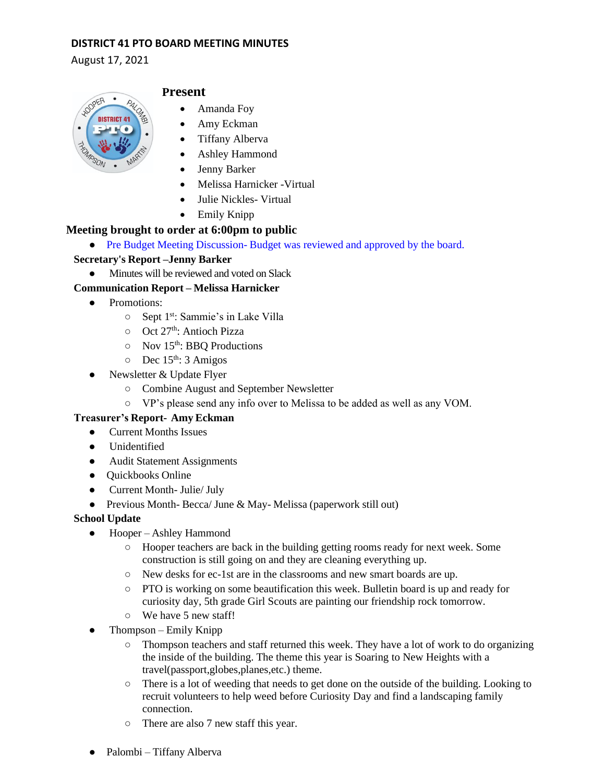## **DISTRICT 41 PTO BOARD MEETING MINUTES**

August 17, 2021



# **Present**

- Amanda Foy
- Amy Eckman
- Tiffany Alberva
- Ashley Hammond
- Jenny Barker
- Melissa Harnicker -Virtual
- Julie Nickles- Virtual
- Emily Knipp

## **Meeting brought to order at 6:00pm to public**

• Pre Budget Meeting Discussion-Budget was reviewed and approved by the board.

### **Secretary's Report –Jenny Barker**

• Minutes will be reviewed and voted on Slack

## **Communication Report – Melissa Harnicker**

- Promotions:
	- Sept 1st: Sammie's in Lake Villa
	- o Oct 27<sup>th</sup>: Antioch Pizza
	- Nov 15th: BBQ Productions
	- $O$  Dec 15<sup>th</sup>: 3 Amigos
- Newsletter & Update Flyer
	- Combine August and September Newsletter
	- VP's please send any info over to Melissa to be added as well as any VOM.

### **Treasurer's Report- Amy Eckman**

- Current Months Issues
- Unidentified
- Audit Statement Assignments
- Quickbooks Online
- Current Month- Julie/ July
- Previous Month- Becca/ June & May- Melissa (paperwork still out)

# **School Update**

- Hooper Ashley Hammond
	- Hooper teachers are back in the building getting rooms ready for next week. Some construction is still going on and they are cleaning everything up.
	- New desks for ec-1st are in the classrooms and new smart boards are up.
	- PTO is working on some beautification this week. Bulletin board is up and ready for curiosity day, 5th grade Girl Scouts are painting our friendship rock tomorrow.
	- We have 5 new staff!
- Thompson Emily Knipp
	- Thompson teachers and staff returned this week. They have a lot of work to do organizing the inside of the building. The theme this year is Soaring to New Heights with a travel(passport,globes,planes,etc.) theme.
	- There is a lot of weeding that needs to get done on the outside of the building. Looking to recruit volunteers to help weed before Curiosity Day and find a landscaping family connection.
	- There are also 7 new staff this year.
- Palombi Tiffany Alberva